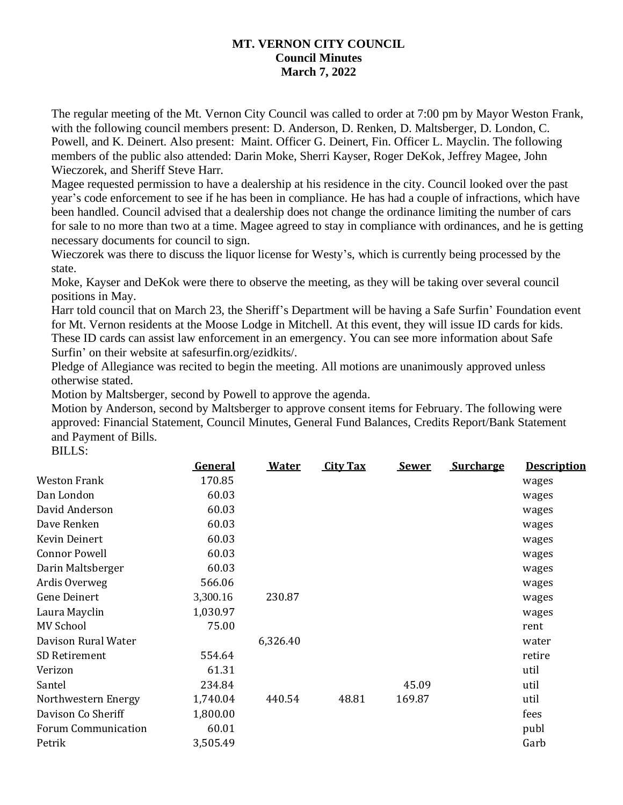## **MT. VERNON CITY COUNCIL Council Minutes March 7, 2022**

The regular meeting of the Mt. Vernon City Council was called to order at 7:00 pm by Mayor Weston Frank, with the following council members present: D. Anderson, D. Renken, D. Maltsberger, D. London, C. Powell, and K. Deinert. Also present: Maint. Officer G. Deinert, Fin. Officer L. Mayclin. The following members of the public also attended: Darin Moke, Sherri Kayser, Roger DeKok, Jeffrey Magee, John Wieczorek, and Sheriff Steve Harr.

Magee requested permission to have a dealership at his residence in the city. Council looked over the past year's code enforcement to see if he has been in compliance. He has had a couple of infractions, which have been handled. Council advised that a dealership does not change the ordinance limiting the number of cars for sale to no more than two at a time. Magee agreed to stay in compliance with ordinances, and he is getting necessary documents for council to sign.

Wieczorek was there to discuss the liquor license for Westy's, which is currently being processed by the state.

Moke, Kayser and DeKok were there to observe the meeting, as they will be taking over several council positions in May.

Harr told council that on March 23, the Sheriff's Department will be having a Safe Surfin' Foundation event for Mt. Vernon residents at the Moose Lodge in Mitchell. At this event, they will issue ID cards for kids. These ID cards can assist law enforcement in an emergency. You can see more information about Safe Surfin' on their website at safesurfin.org/ezidkits/.

Pledge of Allegiance was recited to begin the meeting. All motions are unanimously approved unless otherwise stated.

Motion by Maltsberger, second by Powell to approve the agenda.

Motion by Anderson, second by Maltsberger to approve consent items for February. The following were approved: Financial Statement, Council Minutes, General Fund Balances, Credits Report/Bank Statement and Payment of Bills.

BILLS:

|                      | <b>General</b> | <b>Water</b> | <b>City Tax</b> | <u>Sewer</u> | <b>Surcharge</b> | <b>Description</b> |
|----------------------|----------------|--------------|-----------------|--------------|------------------|--------------------|
| <b>Weston Frank</b>  | 170.85         |              |                 |              |                  | wages              |
| Dan London           | 60.03          |              |                 |              |                  | wages              |
| David Anderson       | 60.03          |              |                 |              |                  | wages              |
| Dave Renken          | 60.03          |              |                 |              |                  | wages              |
| Kevin Deinert        | 60.03          |              |                 |              |                  | wages              |
| <b>Connor Powell</b> | 60.03          |              |                 |              |                  | wages              |
| Darin Maltsberger    | 60.03          |              |                 |              |                  | wages              |
| Ardis Overweg        | 566.06         |              |                 |              |                  | wages              |
| <b>Gene Deinert</b>  | 3,300.16       | 230.87       |                 |              |                  | wages              |
| Laura Mayclin        | 1,030.97       |              |                 |              |                  | wages              |
| <b>MV School</b>     | 75.00          |              |                 |              |                  | rent               |
| Davison Rural Water  |                | 6,326.40     |                 |              |                  | water              |
| SD Retirement        | 554.64         |              |                 |              |                  | retire             |
| Verizon              | 61.31          |              |                 |              |                  | util               |
| Santel               | 234.84         |              |                 | 45.09        |                  | util               |
| Northwestern Energy  | 1,740.04       | 440.54       | 48.81           | 169.87       |                  | util               |
| Davison Co Sheriff   | 1,800.00       |              |                 |              |                  | fees               |
| Forum Communication  | 60.01          |              |                 |              |                  | publ               |
| Petrik               | 3,505.49       |              |                 |              |                  | Garb               |